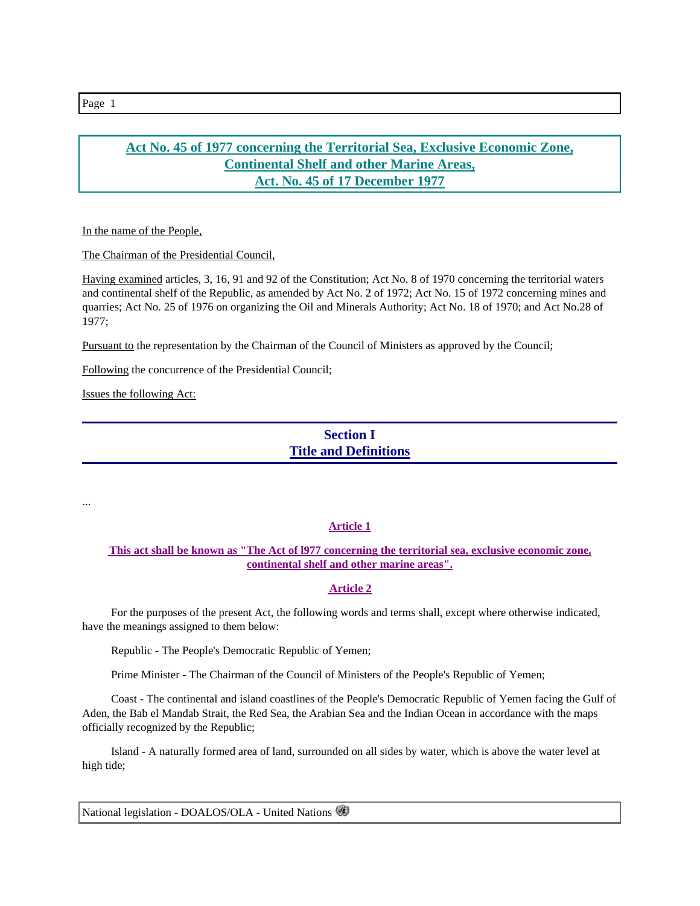## **Act No. 45 of 1977 concerning the Territorial Sea, Exclusive Economic Zone, Continental Shelf and other Marine Areas, Act. No. 45 of 17 December 1977**

In the name of the People,

The Chairman of the Presidential Council,

Having examined articles, 3, 16, 91 and 92 of the Constitution; Act No. 8 of 1970 concerning the territorial waters and continental shelf of the Republic, as amended by Act No. 2 of 1972; Act No. 15 of 1972 concerning mines and quarries; Act No. 25 of 1976 on organizing the Oil and Minerals Authority; Act No. 18 of 1970; and Act No.28 of 1977;

Pursuant to the representation by the Chairman of the Council of Ministers as approved by the Council;

Following the concurrence of the Presidential Council;

Issues the following Act:

# **Section I Title and Definitions**

...

### **Article 1**

### **This act shall be known as "The Act of l977 concerning the territorial sea, exclusive economic zone, continental shelf and other marine areas".**

### **Article 2**

 For the purposes of the present Act, the following words and terms shall, except where otherwise indicated, have the meanings assigned to them below:

Republic - The People's Democratic Republic of Yemen;

Prime Minister - The Chairman of the Council of Ministers of the People's Republic of Yemen;

 Coast - The continental and island coastlines of the People's Democratic Republic of Yemen facing the Gulf of Aden, the Bab el Mandab Strait, the Red Sea, the Arabian Sea and the Indian Ocean in accordance with the maps officially recognized by the Republic;

 Island - A naturally formed area of land, surrounded on all sides by water, which is above the water level at high tide;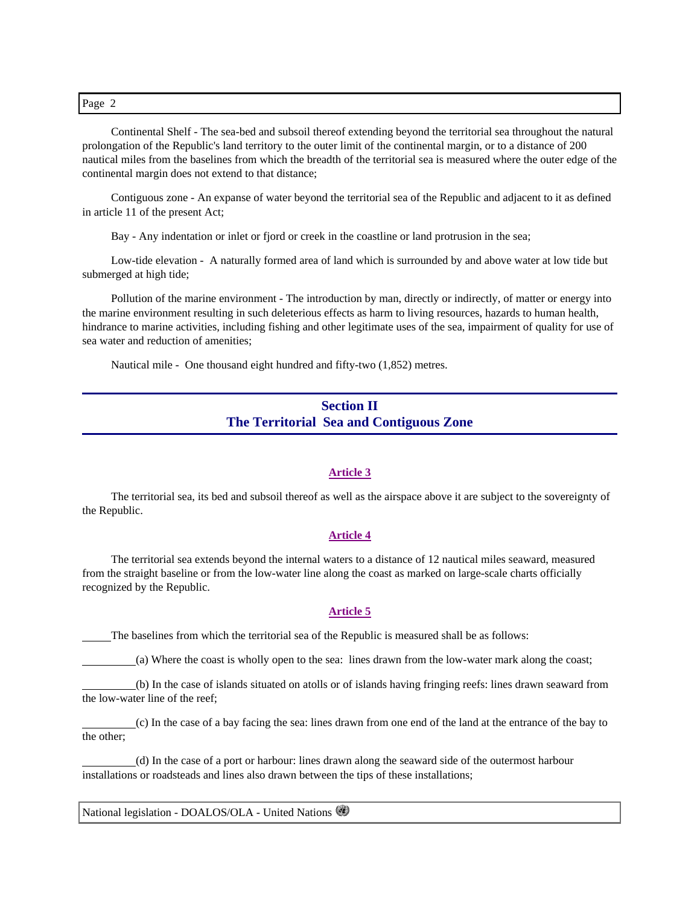Continental Shelf - The sea-bed and subsoil thereof extending beyond the territorial sea throughout the natural prolongation of the Republic's land territory to the outer limit of the continental margin, or to a distance of 200 nautical miles from the baselines from which the breadth of the territorial sea is measured where the outer edge of the continental margin does not extend to that distance;

 Contiguous zone - An expanse of water beyond the territorial sea of the Republic and adjacent to it as defined in article 11 of the present Act;

Bay - Any indentation or inlet or fjord or creek in the coastline or land protrusion in the sea;

 Low-tide elevation - A naturally formed area of land which is surrounded by and above water at low tide but submerged at high tide;

 Pollution of the marine environment - The introduction by man, directly or indirectly, of matter or energy into the marine environment resulting in such deleterious effects as harm to living resources, hazards to human health, hindrance to marine activities, including fishing and other legitimate uses of the sea, impairment of quality for use of sea water and reduction of amenities;

Nautical mile - One thousand eight hundred and fifty-two (1,852) metres.

# **Section II The Territorial Sea and Contiguous Zone**

#### **Article 3**

 The territorial sea, its bed and subsoil thereof as well as the airspace above it are subject to the sovereignty of the Republic.

#### **Article 4**

 The territorial sea extends beyond the internal waters to a distance of 12 nautical miles seaward, measured from the straight baseline or from the low-water line along the coast as marked on large-scale charts officially recognized by the Republic.

#### **Article 5**

The baselines from which the territorial sea of the Republic is measured shall be as follows:

(a) Where the coast is wholly open to the sea: lines drawn from the low-water mark along the coast;

 (b) In the case of islands situated on atolls or of islands having fringing reefs: lines drawn seaward from the low-water line of the reef;

 (c) In the case of a bay facing the sea: lines drawn from one end of the land at the entrance of the bay to the other;

 (d) In the case of a port or harbour: lines drawn along the seaward side of the outermost harbour installations or roadsteads and lines also drawn between the tips of these installations;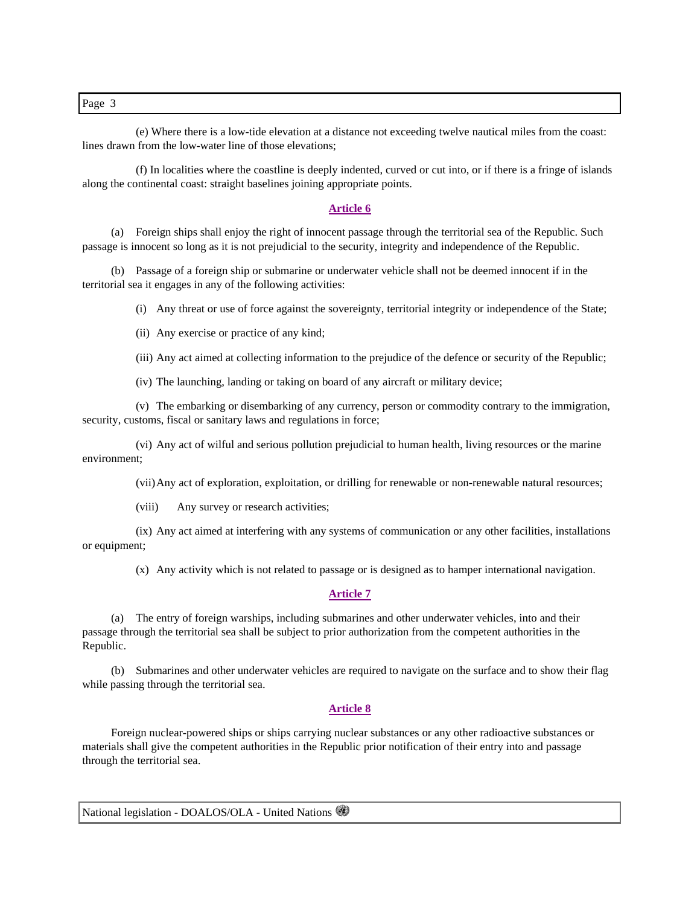(e) Where there is a low-tide elevation at a distance not exceeding twelve nautical miles from the coast: lines drawn from the low-water line of those elevations;

 (f) In localities where the coastline is deeply indented, curved or cut into, or if there is a fringe of islands along the continental coast: straight baselines joining appropriate points.

#### **Article 6**

 (a) Foreign ships shall enjoy the right of innocent passage through the territorial sea of the Republic. Such passage is innocent so long as it is not prejudicial to the security, integrity and independence of the Republic.

 (b) Passage of a foreign ship or submarine or underwater vehicle shall not be deemed innocent if in the territorial sea it engages in any of the following activities:

(i) Any threat or use of force against the sovereignty, territorial integrity or independence of the State;

(ii) Any exercise or practice of any kind;

(iii) Any act aimed at collecting information to the prejudice of the defence or security of the Republic;

(iv) The launching, landing or taking on board of any aircraft or military device;

 (v) The embarking or disembarking of any currency, person or commodity contrary to the immigration, security, customs, fiscal or sanitary laws and regulations in force;

 (vi) Any act of wilful and serious pollution prejudicial to human health, living resources or the marine environment;

(vii) Any act of exploration, exploitation, or drilling for renewable or non-renewable natural resources;

(viii) Any survey or research activities;

 (ix) Any act aimed at interfering with any systems of communication or any other facilities, installations or equipment;

(x) Any activity which is not related to passage or is designed as to hamper international navigation.

#### **Article 7**

 (a) The entry of foreign warships, including submarines and other underwater vehicles, into and their passage through the territorial sea shall be subject to prior authorization from the competent authorities in the Republic.

 (b) Submarines and other underwater vehicles are required to navigate on the surface and to show their flag while passing through the territorial sea.

#### **Article 8**

 Foreign nuclear-powered ships or ships carrying nuclear substances or any other radioactive substances or materials shall give the competent authorities in the Republic prior notification of their entry into and passage through the territorial sea.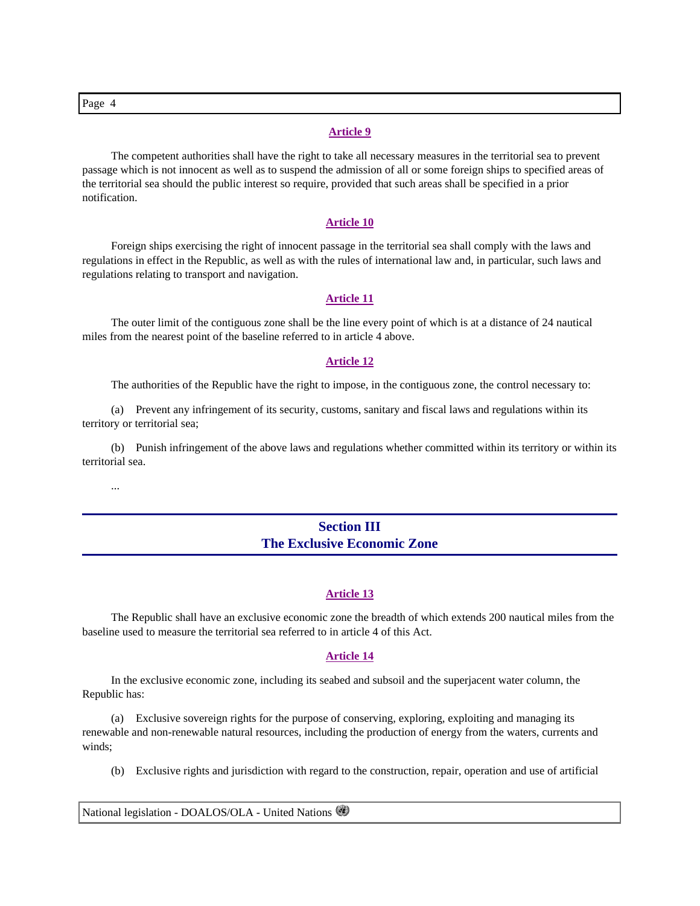### **Article 9**

 The competent authorities shall have the right to take all necessary measures in the territorial sea to prevent passage which is not innocent as well as to suspend the admission of all or some foreign ships to specified areas of the territorial sea should the public interest so require, provided that such areas shall be specified in a prior notification.

#### **Article 10**

 Foreign ships exercising the right of innocent passage in the territorial sea shall comply with the laws and regulations in effect in the Republic, as well as with the rules of international law and, in particular, such laws and regulations relating to transport and navigation.

#### **Article 11**

 The outer limit of the contiguous zone shall be the line every point of which is at a distance of 24 nautical miles from the nearest point of the baseline referred to in article 4 above.

#### **Article 12**

The authorities of the Republic have the right to impose, in the contiguous zone, the control necessary to:

 (a) Prevent any infringement of its security, customs, sanitary and fiscal laws and regulations within its territory or territorial sea;

 (b) Punish infringement of the above laws and regulations whether committed within its territory or within its territorial sea.

...

## **Section III The Exclusive Economic Zone**

#### **Article 13**

 The Republic shall have an exclusive economic zone the breadth of which extends 200 nautical miles from the baseline used to measure the territorial sea referred to in article 4 of this Act.

#### **Article 14**

 In the exclusive economic zone, including its seabed and subsoil and the superjacent water column, the Republic has:

 (a) Exclusive sovereign rights for the purpose of conserving, exploring, exploiting and managing its renewable and non-renewable natural resources, including the production of energy from the waters, currents and winds;

(b) Exclusive rights and jurisdiction with regard to the construction, repair, operation and use of artificial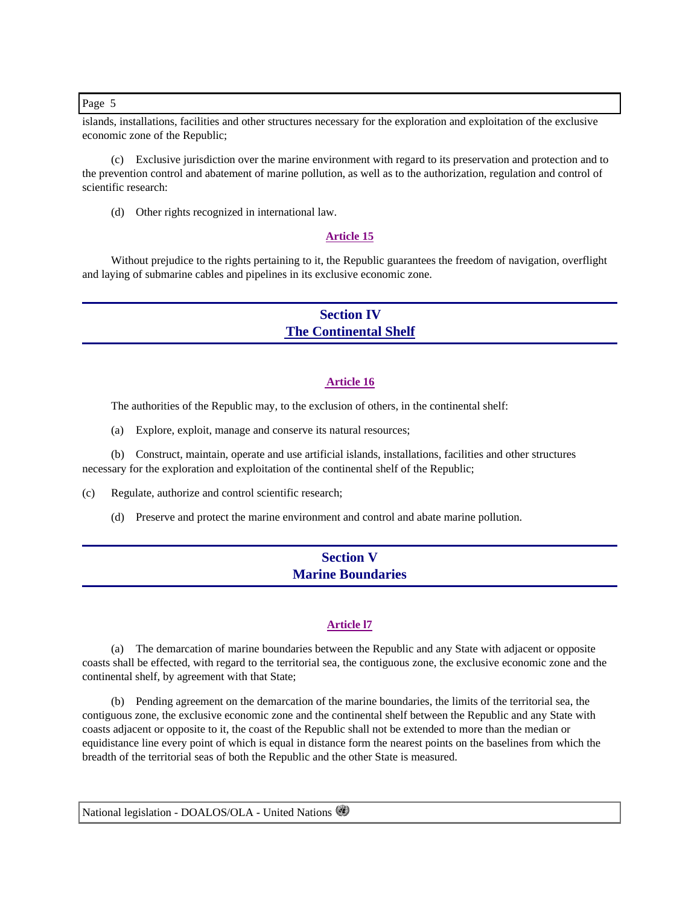islands, installations, facilities and other structures necessary for the exploration and exploitation of the exclusive economic zone of the Republic;

 (c) Exclusive jurisdiction over the marine environment with regard to its preservation and protection and to the prevention control and abatement of marine pollution, as well as to the authorization, regulation and control of scientific research:

(d) Other rights recognized in international law.

### **Article 15**

 Without prejudice to the rights pertaining to it, the Republic guarantees the freedom of navigation, overflight and laying of submarine cables and pipelines in its exclusive economic zone.

## **Section IV The Continental Shelf**

#### **Article 16**

The authorities of the Republic may, to the exclusion of others, in the continental shelf:

(a) Explore, exploit, manage and conserve its natural resources;

 (b) Construct, maintain, operate and use artificial islands, installations, facilities and other structures necessary for the exploration and exploitation of the continental shelf of the Republic;

(c) Regulate, authorize and control scientific research;

(d) Preserve and protect the marine environment and control and abate marine pollution.

## **Section V Marine Boundaries**

### **Article l7**

 (a) The demarcation of marine boundaries between the Republic and any State with adjacent or opposite coasts shall be effected, with regard to the territorial sea, the contiguous zone, the exclusive economic zone and the continental shelf, by agreement with that State;

 (b) Pending agreement on the demarcation of the marine boundaries, the limits of the territorial sea, the contiguous zone, the exclusive economic zone and the continental shelf between the Republic and any State with coasts adjacent or opposite to it, the coast of the Republic shall not be extended to more than the median or equidistance line every point of which is equal in distance form the nearest points on the baselines from which the breadth of the territorial seas of both the Republic and the other State is measured.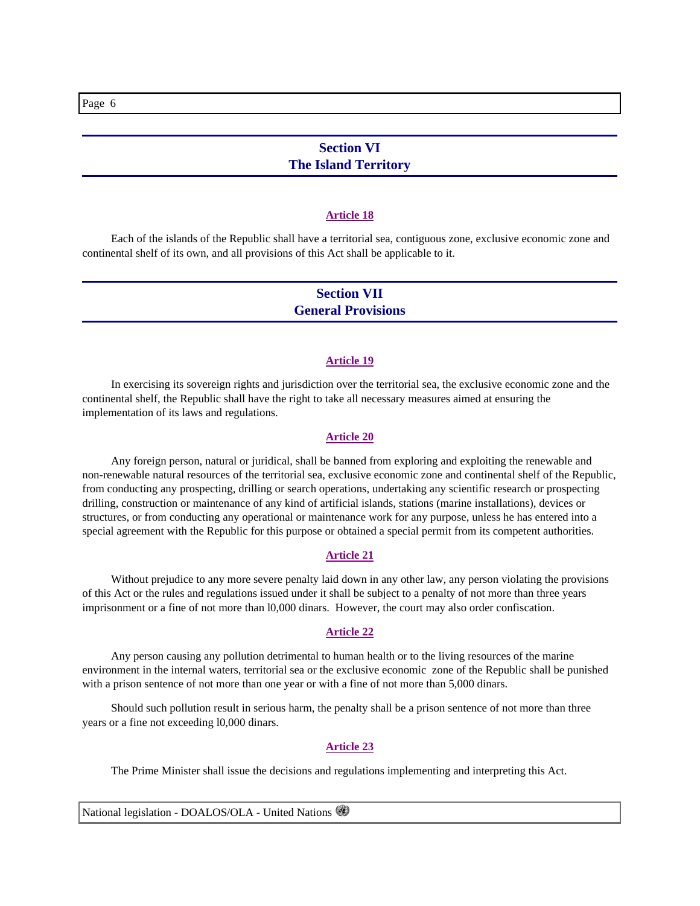## **Section VI The Island Territory**

#### **Article 18**

 Each of the islands of the Republic shall have a territorial sea, contiguous zone, exclusive economic zone and continental shelf of its own, and all provisions of this Act shall be applicable to it.

## **Section VII General Provisions**

#### **Article 19**

 In exercising its sovereign rights and jurisdiction over the territorial sea, the exclusive economic zone and the continental shelf, the Republic shall have the right to take all necessary measures aimed at ensuring the implementation of its laws and regulations.

#### **Article 20**

 Any foreign person, natural or juridical, shall be banned from exploring and exploiting the renewable and non-renewable natural resources of the territorial sea, exclusive economic zone and continental shelf of the Republic, from conducting any prospecting, drilling or search operations, undertaking any scientific research or prospecting drilling, construction or maintenance of any kind of artificial islands, stations (marine installations), devices or structures, or from conducting any operational or maintenance work for any purpose, unless he has entered into a special agreement with the Republic for this purpose or obtained a special permit from its competent authorities.

#### **Article 21**

 Without prejudice to any more severe penalty laid down in any other law, any person violating the provisions of this Act or the rules and regulations issued under it shall be subject to a penalty of not more than three years imprisonment or a fine of not more than l0,000 dinars. However, the court may also order confiscation.

### **Article 22**

 Any person causing any pollution detrimental to human health or to the living resources of the marine environment in the internal waters, territorial sea or the exclusive economic zone of the Republic shall be punished with a prison sentence of not more than one year or with a fine of not more than 5,000 dinars.

 Should such pollution result in serious harm, the penalty shall be a prison sentence of not more than three years or a fine not exceeding l0,000 dinars.

#### **Article 23**

The Prime Minister shall issue the decisions and regulations implementing and interpreting this Act.